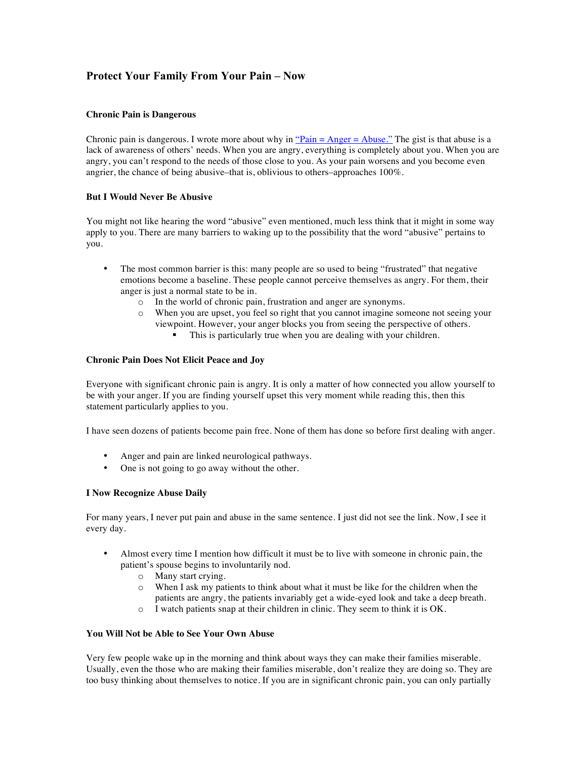# **Protect Your Family From Your Pain – Now**

# **Chronic Pain is Dangerous**

Chronic pain is dangerous. I wrote more about why in "Pain  $=$  Anger  $=$  Abuse." The gist is that abuse is a lack of awareness of others' needs. When you are angry, everything is completely about you. When you are angry, you can't respond to the needs of those close to you. As your pain worsens and you become even angrier, the chance of being abusive–that is, oblivious to others–approaches 100%.

### **But I Would Never Be Abusive**

You might not like hearing the word "abusive" even mentioned, much less think that it might in some way apply to you. There are many barriers to waking up to the possibility that the word "abusive" pertains to you.

- The most common barrier is this: many people are so used to being "frustrated" that negative emotions become a baseline. These people cannot perceive themselves as angry. For them, their anger is just a normal state to be in.
	- o In the world of chronic pain, frustration and anger are synonyms.
	- o When you are upset, you feel so right that you cannot imagine someone not seeing your viewpoint. However, your anger blocks you from seeing the perspective of others.
		- This is particularly true when you are dealing with your children.

### **Chronic Pain Does Not Elicit Peace and Joy**

Everyone with significant chronic pain is angry. It is only a matter of how connected you allow yourself to be with your anger. If you are finding yourself upset this very moment while reading this, then this statement particularly applies to you.

I have seen dozens of patients become pain free. None of them has done so before first dealing with anger.

- Anger and pain are linked neurological pathways.
- One is not going to go away without the other.

# **I Now Recognize Abuse Daily**

For many years, I never put pain and abuse in the same sentence. I just did not see the link. Now, I see it every day.

- Almost every time I mention how difficult it must be to live with someone in chronic pain, the patient's spouse begins to involuntarily nod.
	- o Many start crying.
	- $\circ$  When I ask my patients to think about what it must be like for the children when the patients are angry, the patients invariably get a wide-eyed look and take a deep breath.
	- o I watch patients snap at their children in clinic. They seem to think it is OK.

### **You Will Not be Able to See Your Own Abuse**

Very few people wake up in the morning and think about ways they can make their families miserable. Usually, even the those who are making their families miserable, don't realize they are doing so. They are too busy thinking about themselves to notice. If you are in significant chronic pain, you can only partially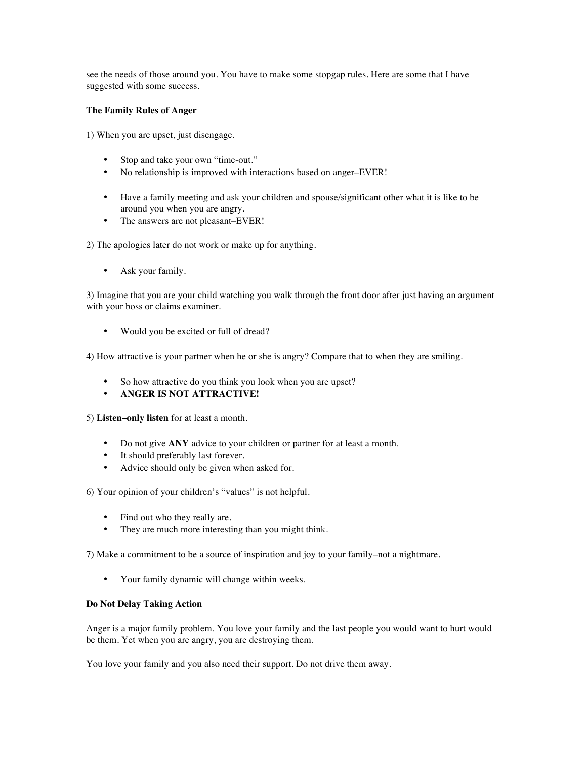see the needs of those around you. You have to make some stopgap rules. Here are some that I have suggested with some success.

# **The Family Rules of Anger**

1) When you are upset, just disengage.

- Stop and take your own "time-out."
- No relationship is improved with interactions based on anger–EVER!
- Have a family meeting and ask your children and spouse/significant other what it is like to be around you when you are angry.
- The answers are not pleasant–EVER!

2) The apologies later do not work or make up for anything.

• Ask your family.

3) Imagine that you are your child watching you walk through the front door after just having an argument with your boss or claims examiner.

• Would you be excited or full of dread?

4) How attractive is your partner when he or she is angry? Compare that to when they are smiling.

- So how attractive do you think you look when you are upset?
- **ANGER IS NOT ATTRACTIVE!**
- 5) **Listen–only listen** for at least a month.
	- Do not give **ANY** advice to your children or partner for at least a month.
	- It should preferably last forever.
	- Advice should only be given when asked for.

6) Your opinion of your children's "values" is not helpful.

- Find out who they really are.
- They are much more interesting than you might think.

7) Make a commitment to be a source of inspiration and joy to your family–not a nightmare.

• Your family dynamic will change within weeks.

#### **Do Not Delay Taking Action**

Anger is a major family problem. You love your family and the last people you would want to hurt would be them. Yet when you are angry, you are destroying them.

You love your family and you also need their support. Do not drive them away.